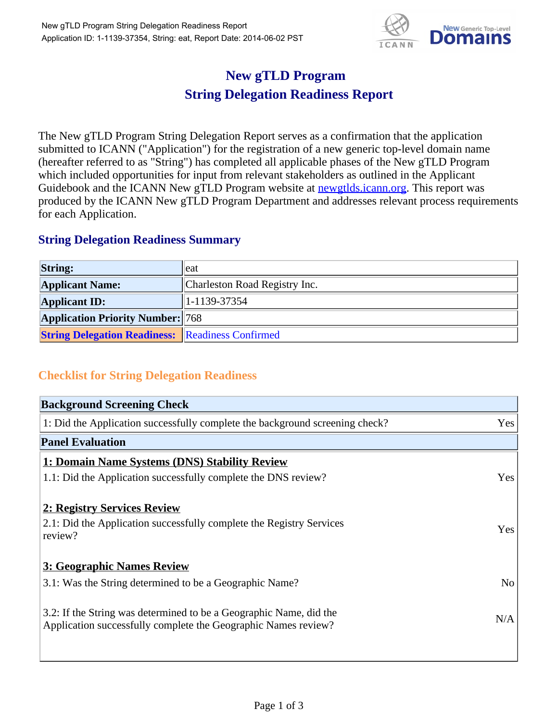

## **New gTLD Program String Delegation Readiness Report**

The New gTLD Program String Delegation Report serves as a confirmation that the application submitted to ICANN ("Application") for the registration of a new generic top-level domain name (hereafter referred to as "String") has completed all applicable phases of the New gTLD Program which included opportunities for input from relevant stakeholders as outlined in the Applicant Guidebook and the ICANN New gTLD Program website at newgtlds.icann.org. This report was produced by the ICANN New gTLD Program Department and addresses relevant process requirements for each Application.

## **String Delegation Readiness Summary**

| <b>String:</b>                                          | eat                           |
|---------------------------------------------------------|-------------------------------|
| <b>Applicant Name:</b>                                  | Charleston Road Registry Inc. |
| <b>Applicant ID:</b>                                    | $ 1-1139-37354 $              |
| <b>Application Priority Number: 768</b>                 |                               |
| <b>String Delegation Readiness:</b> Readiness Confirmed |                               |

## **Checklist for String Delegation Readiness**

| <b>Background Screening Check</b>                                               |                |
|---------------------------------------------------------------------------------|----------------|
| 1: Did the Application successfully complete the background screening check?    | Yes            |
| <b>Panel Evaluation</b>                                                         |                |
| 1: Domain Name Systems (DNS) Stability Review                                   |                |
| 1.1: Did the Application successfully complete the DNS review?                  | Yes            |
| 2: Registry Services Review                                                     |                |
|                                                                                 |                |
| 2.1: Did the Application successfully complete the Registry Services<br>review? | <b>Yes</b>     |
|                                                                                 |                |
| 3: Geographic Names Review                                                      |                |
| 3.1: Was the String determined to be a Geographic Name?                         | N <sub>0</sub> |
| 3.2: If the String was determined to be a Geographic Name, did the              |                |
| Application successfully complete the Geographic Names review?                  | N/A            |
|                                                                                 |                |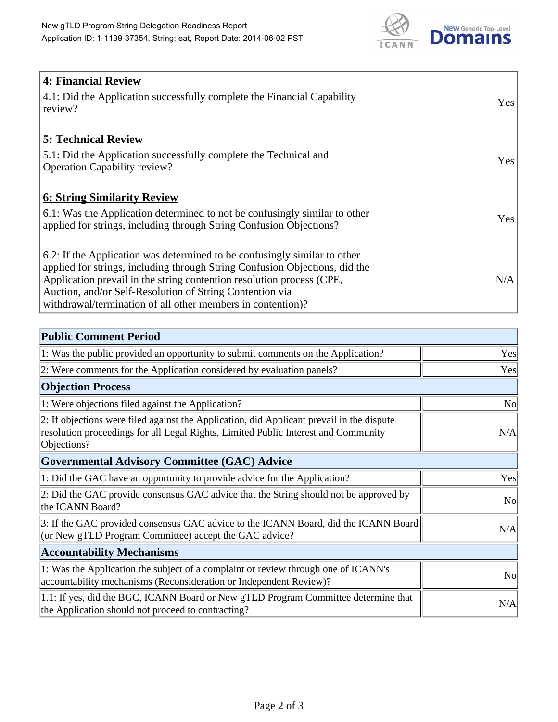

| <b>4: Financial Review</b><br>4.1: Did the Application successfully complete the Financial Capability<br>review?                                                                                                                                                                                                                                             | Yes |
|--------------------------------------------------------------------------------------------------------------------------------------------------------------------------------------------------------------------------------------------------------------------------------------------------------------------------------------------------------------|-----|
| <b>5: Technical Review</b><br>5.1: Did the Application successfully complete the Technical and<br><b>Operation Capability review?</b>                                                                                                                                                                                                                        | Yes |
| <b>6: String Similarity Review</b><br>6.1: Was the Application determined to not be confusingly similar to other<br>applied for strings, including through String Confusion Objections?                                                                                                                                                                      | Yes |
| 6.2: If the Application was determined to be confusingly similar to other<br>applied for strings, including through String Confusion Objections, did the<br>Application prevail in the string contention resolution process (CPE,<br>Auction, and/or Self-Resolution of String Contention via<br>withdrawal/termination of all other members in contention)? | N/A |

| <b>Public Comment Period</b>                                                                                                                                                                   |           |
|------------------------------------------------------------------------------------------------------------------------------------------------------------------------------------------------|-----------|
| 1: Was the public provided an opportunity to submit comments on the Application?                                                                                                               | Yes       |
| 2: Were comments for the Application considered by evaluation panels?                                                                                                                          | Yes       |
| <b>Objection Process</b>                                                                                                                                                                       |           |
| 1: Were objections filed against the Application?                                                                                                                                              | <b>No</b> |
| 2: If objections were filed against the Application, did Applicant prevail in the dispute<br>resolution proceedings for all Legal Rights, Limited Public Interest and Community<br>Objections? | N/A       |
| <b>Governmental Advisory Committee (GAC) Advice</b>                                                                                                                                            |           |
| 1: Did the GAC have an opportunity to provide advice for the Application?                                                                                                                      | Yes       |
| 2: Did the GAC provide consensus GAC advice that the String should not be approved by<br>the ICANN Board?                                                                                      | <b>No</b> |
| 3: If the GAC provided consensus GAC advice to the ICANN Board, did the ICANN Board<br>(or New gTLD Program Committee) accept the GAC advice?                                                  | N/A       |
| <b>Accountability Mechanisms</b>                                                                                                                                                               |           |
| 1: Was the Application the subject of a complaint or review through one of ICANN's<br>accountability mechanisms (Reconsideration or Independent Review)?                                       | <b>No</b> |
| 1.1: If yes, did the BGC, ICANN Board or New gTLD Program Committee determine that<br>the Application should not proceed to contracting?                                                       | N/A       |